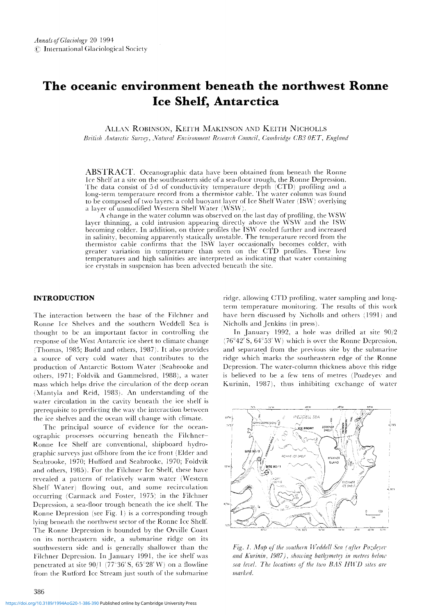# **The oceanic environment beneath the northwest Ronne Ice Shelf, Antarctica**

ALLAN ROBINSON, KEITH MAKINSON AND KEITH NICHOLLS *British Antarctic Survey, Natural Environment Research Council, Cambridge CB3 OET, England* 

ABSTRACT. Oceanographic data have been obtained from beneath the Ronne Ice Shelf at a sitc on the sou theastern side of a sea-floor trough, the Ronne Depression. The data consist of 5 d of conductivity temperature depth (CTD) profiling and a long-term temperature record from a thermistor cable. The water column was found to be composed of two layers: a cold buoyant layer of Ice Shelf Water (ISW) overlying a layer of unmodified Western Shelf Water (WSW).

A change in the water column was observed on the last day of profiling, the WSW layer thinning, a cold intrusion appearing directly above the WSW and the ISW becoming colder. In addition, on three profiles the ISW cooled further and increased in salinity, becoming apparently statically unstable. The temperature record from the thermistor cable confirms that the IS\V layer occasionally becomes colder. with greater variation in temperature than seen on the CTD profiles. These low temperatures and high salinities arc interpreted as indicating that water containing ice crystals in suspension has been adyeeted beneath the site.

# **INTRODUCTION**

The interaction between the base of the Filchner and Ronne Ice Shelves and the southern \Veddell Sea is thought to be an important factor in controlling the response of the West Antarctic ice sheet to climate change (Thomas, 1985; Budd and others, 1987). It also provides a source of very cold water that contributes to the production of Antarctic Bottom \Vater (Seahrooke and others, 1971; Foldvik and Gammelsrod, 1988), a water mass which helps drive the circulation of the deep ocean (Mantyla and Reid, 1983). An understanding of the water circulation in the cavity beneath the ice shelf is prerequisite to predicting the way the interaction between the ice shelves and the ocean will change with climate.

The principal source of evidence for the oceanographic processes occurring beneath the Filchner-Ronne Ice Shelf arc conventional, shipboard hydrographic surveys just offshore from the ice front (Elder and Seabrooke, 1970; Hufford and Seabrooke, 1970; Foldvik and others, 1985). For the Filchner Ice Shelf, these have revealed a pattern of relatively warm water (Western Shelf Water) flowing out, and some recirculation occurring (Carmack and Foster, 1975) in the Filchner Depression, a sea-floor trough beneath the ice shelf. The Ronne Depression (see Fig. I) is a corresponding; trough lying beneath the northwest sector of the Ronne Icc Shelf. The Ronne Depression is hounded by the Orville Coast on its northeastern side, a submarine ridge on its southwestern side and is generally shallower than the Filchner Depression. In January 1991, the ice shelf was penetrated at site  $90/1$  (77°36' S, 65°28' W) on a flowline from the Rutford Ice Stream just south of the submarine ridge. allowing CTD profiling, water sampling and longterm temperature monitoring. The results of this work have been discussed by Nicholls and others (1991) and Nicholls and Jenkins (in press).

In January 1992, a hole was drilled at site  $90/2$  $(76°42' S, 64°53' W)$  which is over the Ronne Depressio and separated from the previous site by the submarine ridge which marks the southeastern edge of the Ronne Depression. The water-column thickness above this ridge is believed to be a few tens of metres (Pozdeyev and Kurinin, 1987), thus inhibiting exchange of water



*Fig. 1. Map of the southern Weddell Sea (after Pozdeyev and Kurinin, 1987), showing bathymetry in metres below sea level. The locations of the two BAS HWD sites are marked.*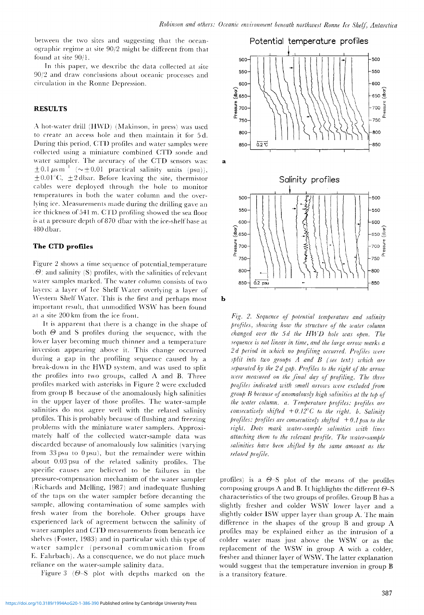between the two sites and suggesting that the oceanographic regime at site 90/2 might be different from that found at site *90/1.*

In this paper, we describe the data collected at site 90/2 and draw conclusions about oceanic processes and circulation in the Ronne Depression.

## **RESULTS**

.\ hot-water drill (H\VD) (Makinson, in press) was used to create an access hole and then maintain it for 5 d. During this period, CTD profiles and water samples were collected using a miniature combined CTD sonde and water sampler. The accuracy of the CTD sensors was:  $\pm 0.1 \,\mu s \,\mathrm{m}^{-1}$  ( $\sim \pm 0.01$  practical salinity units (psu)),  $\pm 0.01^{\circ}$ C,  $\pm 2$  dbar. Before leaving the site, thermistor cables were deployed through the hole to monitor temperatures in both the water column and the overlying ice. Measurements made during the drilling gave an ice thickness of 541 m. CTD profiling showed the sea floor is at a pressure depth of870 dbar with the ice-shelf base at 480 dbar.

## **The CTD profiles**

Figure 2 shows a time sequence of potential temperature  $\langle \Theta \rangle$  and salinity (S) profiles, with the salinities of relevant water samples marked. The water column consists of two lavers: a layer of Ice Shelf \Vater overlying a layer of Western Shelf Water. This is the first and perhaps most important result, that unmodified WSW has been found at a site 200 km from the ice front.

It is apparent that there is a change in the shape of both  $\Theta$  and S profiles during the sequence, with the lower layer becoming much thinner and a temperature inversion appearing above it. This change occurred during a gap in the profiling sequence caused by a break-down in the H\VD system, and was used to split the profiles into two groups, called A and B. Three profiles marked with asterisks in Figure 2 were excluded from group B because of the anomalously high salinities in the upper layer of those profiles. The water-sample salinities do not agree well with the related salinity profiles. This is probably because of flushing and freezing problems with the miniature water samplers. Approximately half of the collected \vater-sample data was discarded because of anomalously low salinities (varying from 33 psu to  $0$  psu), but the remainder were within about 0.03 psu of the related salinity profiles. The specific causes are believed to be failures in the pressure-compensation mechanism of the water sampler  $(Richards and Melling, 1987)$  and inadequate flushing of the taps on the water sampler before decanting the sample, allowing contamination of some samples with fresh water from the borehole. Other groups have experienced lack of agreement between the salinity of water samples and CTD measurements from beneath ice shelves (Foster, 1983) and in particular with this type of watcr sampler (personal communication from E. Fahrbach). As a consequence, we do not place much reliance on the water-sample salinity data.

Figure 3 ( $\Theta$ -S plot with depths marked on the



*Fig.* 2. *Sequence of potential temperature and salinify profiles, showing how the structure of the water column changed over* the 5*d* the HWD hole was open. The *sequence is not linear in time, and the large arrow marks a 2 d period in which no profiling occurred. ProJiles were split into two groups A and B (see text) I.uhich are separated ~y the* 2 *d gal), Profiles to the right of the arrow were measured on the final dcq of profding. The three profiles indicated with small arrows were excluded .Fom group R because of azwmalous[v high salinities at the top qf the water column. a. Temperature profiles: profdes are consecutively shifted*  $+0.12^{\circ}C$  *to the right. b. Salinity profiles: profiles are consecutively shifted*  $+0.1$  *psu to the right. Dots mark water-sample salinities with lines attaching them to the relellant jnofile. The water-sample salinities have been shifted by the same amount as the related profile.*

profiles) is a  $\Theta$ -S plot of the means of the profiles composing groups A and B. It highlights the different  $\Theta$ -S characteristics of the two groups of profiles. Group B has a slightly fresher and colder WSW lower layer and a slightly colder ISW upper layer than group A. The main difference in the shapes of the group  $\overline{B}$  and group  $\overline{A}$ profiles may be explained either as the intrusion of a colder water mass just above the WSW or as the replacement of the WSW in group A with a colder, fresher and thinner layer of WSW. The latter explanation would suggest that the temperature inversion in group B is a transitory feature.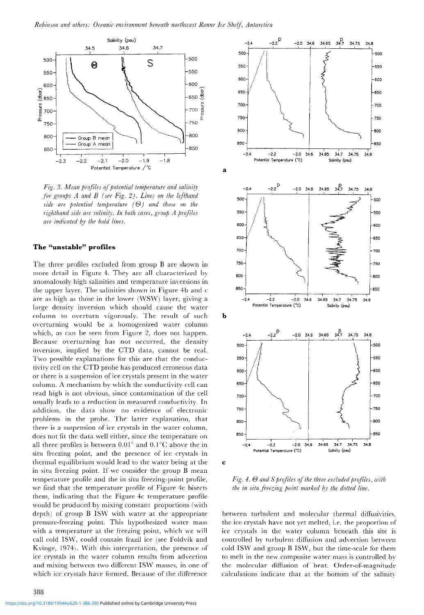

*Fig.* 3. Mean profiles of potential temperature and salinity *for groups A and B (see Fig.* 2). *Lines on the lefthand side* are potential temperature  $(\Theta)$  and those on the *righthand side are saliniry. In both cases, group A profiles are indicated kv the bold lines.*

## **The "unstable" profiles**

The three profiles excluded from group B are shown in more detail in Figure 4. They are all characterized by anomalously high salinities and temperature inversions in the upper layer. The salinities shown in Figure 4b and c are as high as those in the lower (WSW) layer, giving a large density inversion which should cause the water column to overturn vigorously. The result of such overturning would be a homogenized water column which, as can be seen from Figure 2, does not happen. Because overturning has not occurred, the density inversion, implied by the CTD data, cannot be real. Two possible explanations for this are that the conductivity cell on the CTD probe has produced erroneous data or there is a suspension of ice crystals present in the water column. A mechanism by which the conductivity cell can read high is not obvious, since contamination of the cell usually leads to a reduction in measured conductivity. In addition, the data show no evidence of electronic problems in the probe. The latter explanation, that there is a suspension of ice crystals in the water column, does not fit the data well either, since the temperature on all three profiles is between  $0.01^{\circ}$  and  $0.1^{\circ}$ C above the in situ freezing point, and the presence of icc crystals in thermal eq uilibrium would lead to the water being at the in situ freezing point. If we consider the group B mean temperature profile and the in situ freezing-point profile, we find that the temperature profile of Figure 4c bisects them, indicating that the Figure 4c temperature profile would be produced by mixing constant proportions (with depth) of group B ISW with water at the appropriate pressure-freezing point. This hypothesized water mass with a temperature at the freezing point, which we will call cold ISW. could contain frazil icc (see Foldvik and Kvinge, 1974). With this interpretation, the presence of icc crystals in the water column results from advection and mixing between two different ISW masses, in one of which ice crystals have formed. Because of the difference





 $Fig. 4. \Theta$  and *S* profiles of the three excluded profiles, with *the in situ freezing point marked ~y the dotted tine.*

between turbulent and molecular thermal diffusivities. the ice crystals have not yet melted, i.e. the proportion of ice crystals in the water column beneath this site is controlled by turbulent diffusion and advection between cold ISW and group B ISW, but the time-scale for them to melt in the new composite water mass is controlled by the molecular diffusion of heat. Order-of-magnitude calculations indicate that at the bottom of the salinitv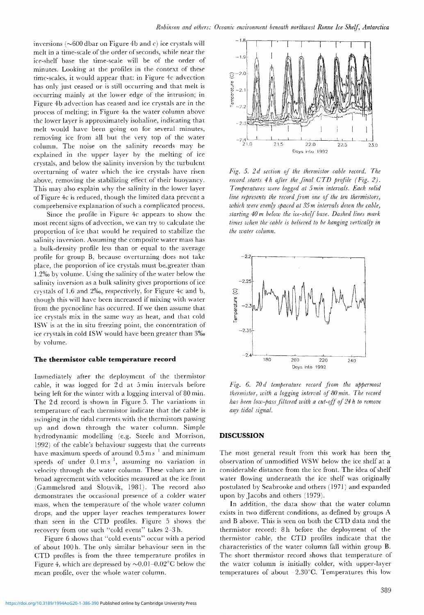inversions ( $\sim$ 600 dbar on Figure 4b and c) ice crystals will melt in a time-scale of the order of seconds, while near the ice-shelf base the time-scale will be of the order of minutes. Looking at the profiles in the context of these time-scales, it would appear that: in Figure 4c advection has only just ceased or is still occurring and that melt is occurring mainly at the lower edge of the intrusion; in Figure 4b advection has ceased and ice crystals are in the proccss of melting; in Figure 4a the water column above the lower layer is approximately isohaline, indicating that melt would have been going on for several minutes, removing ice from all but the very top of the water column. The noise on the salinity records may be explained in the upper layer by the melting of ice crystals, and below the salinity inversion by the turbulent overturning of water which the ice crystals have risen above, removing the stabilizing effect of their buoyancy. This may also explain why the salinity in the lower layer of Figure 4c is reduced, though the limited data prcvent a comprehensive explanation of such a complicated process.

Since the profile in Figure 4c appears to show the most recent signs of advection, we can try to calculate the proportion of ice that would be required to stabilize thc salinity inversion. Assuming the composite water mass has a bulk-density profile less than or equal to the average profile for group B, because overturning does not take place, the proportion of ice crystals must be-greater than 1.2%0by volume. Using the salinity of the water below the salinity inversion as a bulk salinity gives proportions of ice crystals of 1.6 and  $2\%$ , respectively, for Figure 4c and b, though this will have been increased if mixing with water from the pycnocline has occurred. If we then assume that ice crystals mix in the same way as heat, and that cold IS\V is at the in situ freezing point, the concentration of ice crystals in cold ISW would have been greater than 3‰ by volume.

#### **The thermistor cable temperature record**

Immediately after the deployment of the thermistor cable, it was logged for 2d at 5 min intervals before being left for the winter with a logging interval of 80 min. The 2 d record is shown in Figure 5. The variations in temperature of each thermistor indicate that the cable is swinging in the tidal currents with the thermistors passing up and down through the water column. Simple hydrodynamic modelling (e.g. Steele and Morrison, 1992) of the cable's behaviour suggests that the currents have maximum speeds of around  $0.5 \text{ m s}^{-1}$  and minimum speeds of under  $0.1 \text{ m s}^{-1}$ , assuming no variation in velocity through the water column, These values are in broad agreement with velocities measured at the ice front (Gammelsrød and Slotsvik, 1981). The record also demonstrates the occasional presence of a colder water mass, whcn the temperature of the whole water column drops, and the upper layer reaches temperatures lower than seen in the CTD profiles, Figure 5 shows the recovery from one such "cold event" takes 2-3 h.

Figure 6 shows that "cold events" occur with a period of about 100 h. The only similar behaviour seen in the CTD profiles is from the three temperature profiles in Figure 4, which are depressed by  $\sim 0.01 - 0.02^{\circ}$ C below the mean profile, over the whole water column.



*Fig.* 5. 2*d sedian aJ the thermistor cable record. The record starts*  $4h$  *after the final*  $CTD$  *profile*  $(Fig, 2)$ *. Temperatures were logged at* 5*min intervals, Each solid line represents the record Jrom one of the ten thermistors, which were evenly spaced at* 35 *m intervals down the cable*, *starting 40 m below the ice-shelf base. Dashed lines mark times when the cable is believed to be hanging verticalfy in the water column.*



*Fig.* 6. *70 d temperature record from the uppermost thermistor, with a logging interval of 80 min, The record has been 10w-paSJji'ltered with a wt-off of* 24 *h to remove*  $any$  *tidal signal*.

#### **DISCUSSION**

The most general result from this work has been the observation of unmodified WSW below the ice shelf at a considerable distance from the ice front. The idea of shelf water flowing underneath the ice shelf was originally postulated by Seabrooke and others (197]) and expanded upon by Jacobs and others (1979).

In addition, the data show that the water column exists in two different conditions, as defined by groups A and B above. This is seen on both the CTD data and the thermistor record: 3 h before the deployment of the thermistor cable, the CTD profiles indicate that the characteristics of the water column fall within group B. The short thermistor record shows that temperature of the water column is initially colder, with upper-layer temperatures of about  $-2.30^{\circ}$ C. Temperatures this low